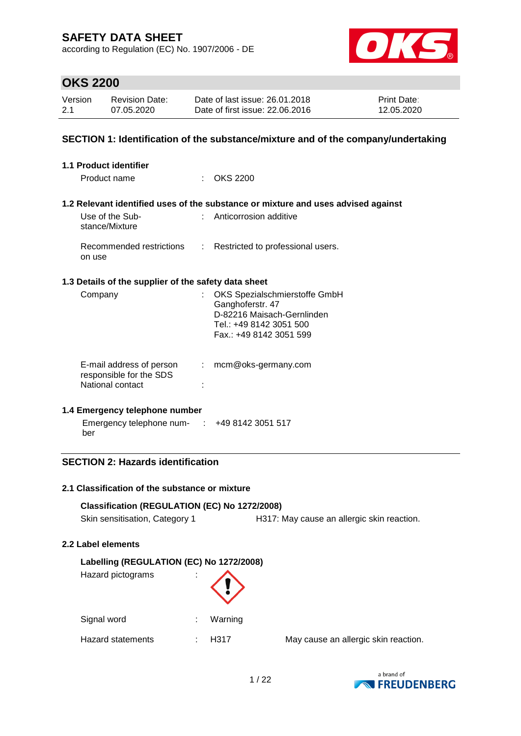according to Regulation (EC) No. 1907/2006 - DE



### **OKS 2200**

| Version | <b>Revision Date:</b> | Date of last issue: 26.01.2018  | <b>Print Date:</b> |
|---------|-----------------------|---------------------------------|--------------------|
| 2.1     | 07.05.2020            | Date of first issue: 22,06,2016 | 12.05.2020         |

#### **SECTION 1: Identification of the substance/mixture and of the company/undertaking**

| <b>1.1 Product identifier</b>                                           |    |                                                                                                                                       |
|-------------------------------------------------------------------------|----|---------------------------------------------------------------------------------------------------------------------------------------|
| Product name                                                            |    | <b>OKS 2200</b>                                                                                                                       |
|                                                                         |    | 1.2 Relevant identified uses of the substance or mixture and uses advised against                                                     |
| Use of the Sub-<br>stance/Mixture                                       |    | : Anticorrosion additive                                                                                                              |
| Recommended restrictions<br>on use                                      | t. | Restricted to professional users.                                                                                                     |
| 1.3 Details of the supplier of the safety data sheet                    |    |                                                                                                                                       |
| Company                                                                 |    | OKS Spezialschmierstoffe GmbH<br>Ganghoferstr. 47<br>D-82216 Maisach-Gernlinden<br>Tel.: +49 8142 3051 500<br>Fax.: +49 8142 3051 599 |
| E-mail address of person<br>responsible for the SDS<br>National contact | t. | mcm@oks-germany.com                                                                                                                   |

#### **1.4 Emergency telephone number**

| Emergency telephone num- | +49 8142 3051 517 |
|--------------------------|-------------------|
| ber                      |                   |

#### **SECTION 2: Hazards identification**

#### **2.1 Classification of the substance or mixture**

#### **Classification (REGULATION (EC) No 1272/2008)**

Skin sensitisation, Category 1 H317: May cause an allergic skin reaction.

#### **2.2 Label elements**

#### **Labelling (REGULATION (EC) No 1272/2008)**

| Hazard pictograms | ٠<br>٠ |         |
|-------------------|--------|---------|
| Signal word       |        | Warning |
| Hazard statements |        | H317    |

May cause an allergic skin reaction.

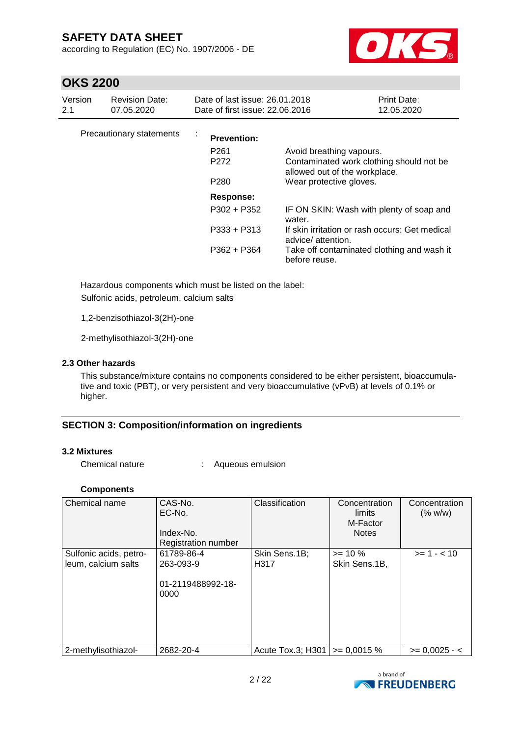according to Regulation (EC) No. 1907/2006 - DE



### **OKS 2200**

| Version<br>2.1           | <b>Revision Date:</b><br>07.05.2020 | Date of last issue: 26.01.2018<br>Date of first issue: 22.06.2016            |                                                                                                                                                                                          | <b>Print Date:</b><br>12.05.2020 |
|--------------------------|-------------------------------------|------------------------------------------------------------------------------|------------------------------------------------------------------------------------------------------------------------------------------------------------------------------------------|----------------------------------|
| Precautionary statements |                                     | $\sim$<br><b>Prevention:</b><br>P <sub>261</sub><br>P272<br>P <sub>280</sub> | Avoid breathing vapours.<br>Contaminated work clothing should not be<br>allowed out of the workplace.<br>Wear protective gloves.                                                         |                                  |
|                          |                                     | Response:<br>P302 + P352<br>P333 + P313<br>P362 + P364                       | IF ON SKIN: Wash with plenty of soap and<br>water.<br>If skin irritation or rash occurs: Get medical<br>advice/attention.<br>Take off contaminated clothing and wash it<br>before reuse. |                                  |

Hazardous components which must be listed on the label: Sulfonic acids, petroleum, calcium salts

1,2-benzisothiazol-3(2H)-one

2-methylisothiazol-3(2H)-one

#### **2.3 Other hazards**

This substance/mixture contains no components considered to be either persistent, bioaccumulative and toxic (PBT), or very persistent and very bioaccumulative (vPvB) at levels of 0.1% or higher.

#### **SECTION 3: Composition/information on ingredients**

#### **3.2 Mixtures**

Chemical nature : Aqueous emulsion

#### **Components**

| Chemical name          | CAS-No.<br>EC-No.<br>Index-No.<br>Registration number | Classification    | Concentration<br>limits<br>M-Factor<br><b>Notes</b> | Concentration<br>(% w/w) |
|------------------------|-------------------------------------------------------|-------------------|-----------------------------------------------------|--------------------------|
| Sulfonic acids, petro- | 61789-86-4                                            | Skin Sens.1B;     | $>= 10 \%$                                          | $>= 1 - < 10$            |
| leum, calcium salts    | 263-093-9<br>01-2119488992-18-<br>0000                | H <sub>3</sub> 17 | Skin Sens.1B,                                       |                          |
| 2-methylisothiazol-    | 2682-20-4                                             | Acute Tox.3; H301 | $\ge$ 0.0015 %                                      | $>= 0,0025 - 5$          |

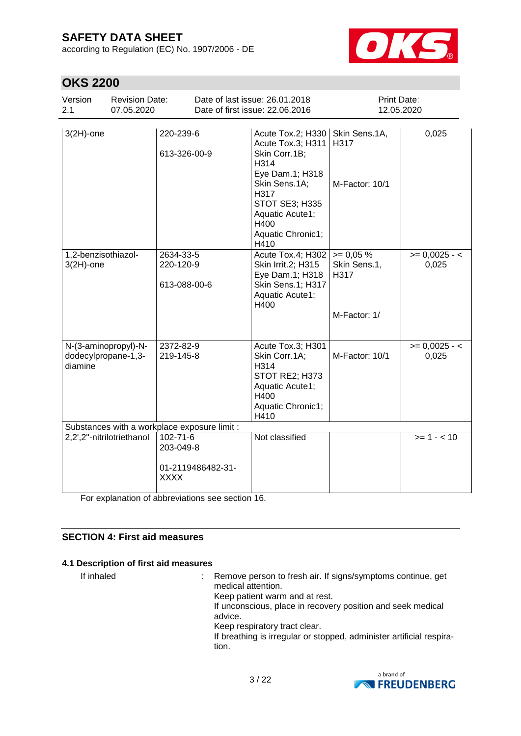according to Regulation (EC) No. 1907/2006 - DE



# **OKS 2200**

| Version<br><b>Revision Date:</b><br>07.05.2020<br>2.1  |                                                                 | Date of last issue: 26.01.2018<br>Date of first issue: 22.06.2016                                                                                                                     | Print Date:<br>12.05.2020                           |                          |  |
|--------------------------------------------------------|-----------------------------------------------------------------|---------------------------------------------------------------------------------------------------------------------------------------------------------------------------------------|-----------------------------------------------------|--------------------------|--|
| $3(2H)$ -one                                           | 220-239-6<br>613-326-00-9                                       | Acute Tox.2; H330<br>Acute Tox.3; H311<br>Skin Corr.1B;<br>H314<br>Eye Dam.1; H318<br>Skin Sens.1A;<br>H317<br>STOT SE3; H335<br>Aquatic Acute1;<br>H400<br>Aquatic Chronic1;<br>H410 | Skin Sens.1A,<br>H317<br>M-Factor: 10/1             | 0,025                    |  |
| 1,2-benzisothiazol-<br>$3(2H)$ -one                    | 2634-33-5<br>220-120-9<br>613-088-00-6                          | Acute Tox.4; H302<br>Skin Irrit.2; H315<br>Eye Dam.1; H318<br>Skin Sens.1; H317<br>Aquatic Acute1;<br>H400                                                                            | $>= 0.05 %$<br>Skin Sens.1,<br>H317<br>M-Factor: 1/ | $>= 0,0025 - 5$<br>0,025 |  |
| N-(3-aminopropyl)-N-<br>dodecylpropane-1,3-<br>diamine | 2372-82-9<br>219-145-8                                          | Acute Tox.3; H301<br>Skin Corr.1A;<br>H314<br>STOT RE2; H373<br>Aquatic Acute1;<br>H400<br>Aquatic Chronic1;<br>H410                                                                  | M-Factor: 10/1                                      | $>= 0,0025 - 5$<br>0,025 |  |
| Substances with a workplace exposure limit :           |                                                                 |                                                                                                                                                                                       |                                                     |                          |  |
| 2,2',2"-nitrilotriethanol                              | $102 - 71 - 6$<br>203-049-8<br>01-2119486482-31-<br><b>XXXX</b> | Not classified                                                                                                                                                                        |                                                     | $>= 1 - 10$              |  |

For explanation of abbreviations see section 16.

#### **SECTION 4: First aid measures**

#### **4.1 Description of first aid measures**

If inhaled : Remove person to fresh air. If signs/symptoms continue, get medical attention. Keep patient warm and at rest. If unconscious, place in recovery position and seek medical advice. Keep respiratory tract clear. If breathing is irregular or stopped, administer artificial respiration.

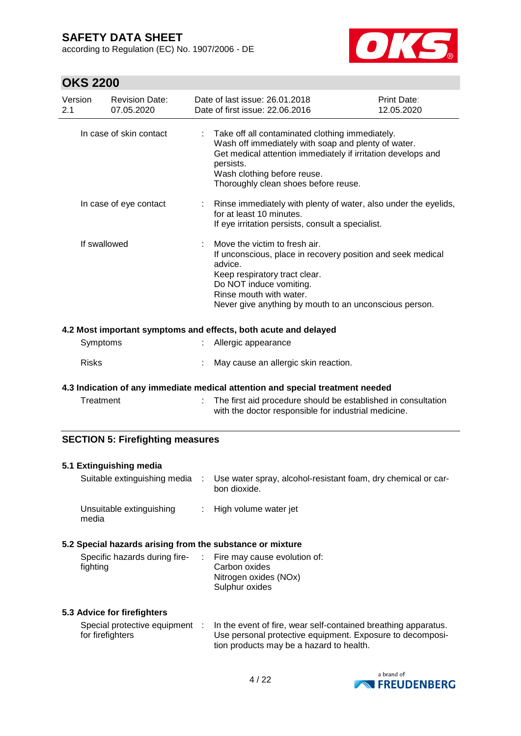according to Regulation (EC) No. 1907/2006 - DE



# **OKS 2200**

| 71 NU <i>ll</i> uv |                                                           |    |                                                                                                                                                                                                                                                            |                           |  |
|--------------------|-----------------------------------------------------------|----|------------------------------------------------------------------------------------------------------------------------------------------------------------------------------------------------------------------------------------------------------------|---------------------------|--|
| Version<br>2.1     | <b>Revision Date:</b><br>07.05.2020                       |    | Date of last issue: 26.01.2018<br>Date of first issue: 22.06.2016                                                                                                                                                                                          | Print Date:<br>12.05.2020 |  |
|                    | In case of skin contact                                   |    | Take off all contaminated clothing immediately.<br>Wash off immediately with soap and plenty of water.<br>Get medical attention immediately if irritation develops and<br>persists.<br>Wash clothing before reuse.<br>Thoroughly clean shoes before reuse. |                           |  |
|                    | In case of eye contact                                    |    | Rinse immediately with plenty of water, also under the eyelids,<br>for at least 10 minutes.<br>If eye irritation persists, consult a specialist.                                                                                                           |                           |  |
|                    | If swallowed                                              |    | Move the victim to fresh air.<br>If unconscious, place in recovery position and seek medical<br>advice.<br>Keep respiratory tract clear.<br>Do NOT induce vomiting.<br>Rinse mouth with water.<br>Never give anything by mouth to an unconscious person.   |                           |  |
|                    |                                                           |    | 4.2 Most important symptoms and effects, both acute and delayed                                                                                                                                                                                            |                           |  |
|                    | Symptoms                                                  |    | Allergic appearance                                                                                                                                                                                                                                        |                           |  |
|                    |                                                           |    |                                                                                                                                                                                                                                                            |                           |  |
| <b>Risks</b>       |                                                           |    | May cause an allergic skin reaction.                                                                                                                                                                                                                       |                           |  |
|                    |                                                           |    | 4.3 Indication of any immediate medical attention and special treatment needed                                                                                                                                                                             |                           |  |
|                    | Treatment                                                 |    | The first aid procedure should be established in consultation<br>with the doctor responsible for industrial medicine.                                                                                                                                      |                           |  |
|                    | <b>SECTION 5: Firefighting measures</b>                   |    |                                                                                                                                                                                                                                                            |                           |  |
|                    | 5.1 Extinguishing media                                   |    |                                                                                                                                                                                                                                                            |                           |  |
|                    |                                                           |    | Suitable extinguishing media : Use water spray, alcohol-resistant foam, dry chemical or car-<br>bon dioxide.                                                                                                                                               |                           |  |
| media              | Unsuitable extinguishing                                  | ÷. | High volume water jet                                                                                                                                                                                                                                      |                           |  |
|                    | 5.2 Special hazards arising from the substance or mixture |    |                                                                                                                                                                                                                                                            |                           |  |
| fighting           | Specific hazards during fire-                             |    | Fire may cause evolution of:<br>Carbon oxides<br>Nitrogen oxides (NOx)<br>Sulphur oxides                                                                                                                                                                   |                           |  |

#### **5.3 Advice for firefighters**

|                  | Special protective equipment : ln the event of fire, wear self-contained breathing apparatus. |
|------------------|-----------------------------------------------------------------------------------------------|
| for firefighters | Use personal protective equipment. Exposure to decomposi-                                     |
|                  | tion products may be a hazard to health.                                                      |

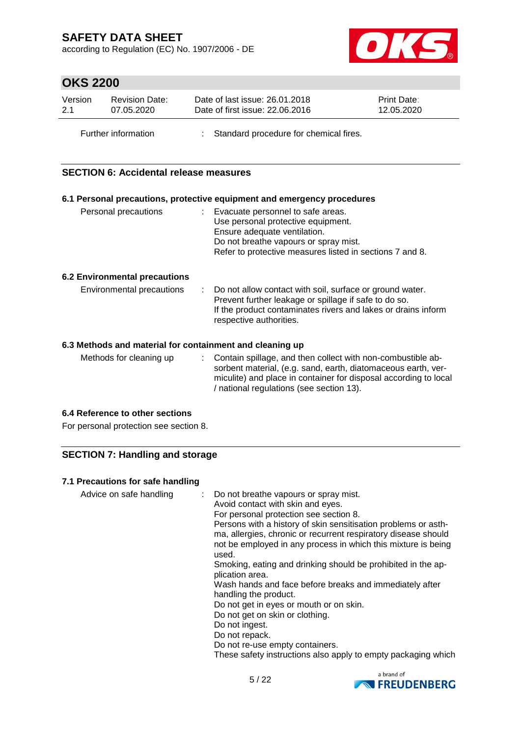according to Regulation (EC) No. 1907/2006 - DE



# **OKS 2200**

| Version | <b>Revision Date:</b> | Date of last issue: 26.01.2018           | <b>Print Date:</b> |
|---------|-----------------------|------------------------------------------|--------------------|
| 2.1     | 07.05.2020            | Date of first issue: 22.06.2016          | 12.05.2020         |
|         | Further information   | : Standard procedure for chemical fires. |                    |

#### **SECTION 6: Accidental release measures**

|                                                          | 6.1 Personal precautions, protective equipment and emergency procedures                                                                                                                                         |
|----------------------------------------------------------|-----------------------------------------------------------------------------------------------------------------------------------------------------------------------------------------------------------------|
| Personal precautions                                     | : Evacuate personnel to safe areas.<br>Use personal protective equipment.<br>Ensure adequate ventilation.<br>Do not breathe vapours or spray mist.<br>Refer to protective measures listed in sections 7 and 8.  |
| <b>6.2 Environmental precautions</b>                     |                                                                                                                                                                                                                 |
| Environmental precautions                                | : Do not allow contact with soil, surface or ground water.<br>Prevent further leakage or spillage if safe to do so.<br>If the product contaminates rivers and lakes or drains inform<br>respective authorities. |
| 6.3 Methods and material for containment and cleaning up |                                                                                                                                                                                                                 |
| Methods for cleaning up                                  | : Contain spillage, and then collect with non-combustible ab-<br>sorbent material, (e.g. sand, earth, diatomaceous earth, ver-<br>miculite) and place in container for disposal according to local              |

/ national regulations (see section 13).

#### **6.4 Reference to other sections**

For personal protection see section 8.

#### **SECTION 7: Handling and storage**

#### **7.1 Precautions for safe handling**

| Advice on safe handling | Do not breathe vapours or spray mist.<br>Avoid contact with skin and eyes.<br>For personal protection see section 8.<br>Persons with a history of skin sensitisation problems or asth-<br>ma, allergies, chronic or recurrent respiratory disease should<br>not be employed in any process in which this mixture is being<br>used.<br>Smoking, eating and drinking should be prohibited in the ap-<br>plication area.<br>Wash hands and face before breaks and immediately after<br>handling the product.<br>Do not get in eyes or mouth or on skin.<br>Do not get on skin or clothing.<br>Do not ingest.<br>Do not repack.<br>Do not re-use empty containers. |
|-------------------------|----------------------------------------------------------------------------------------------------------------------------------------------------------------------------------------------------------------------------------------------------------------------------------------------------------------------------------------------------------------------------------------------------------------------------------------------------------------------------------------------------------------------------------------------------------------------------------------------------------------------------------------------------------------|
|                         | These safety instructions also apply to empty packaging which                                                                                                                                                                                                                                                                                                                                                                                                                                                                                                                                                                                                  |

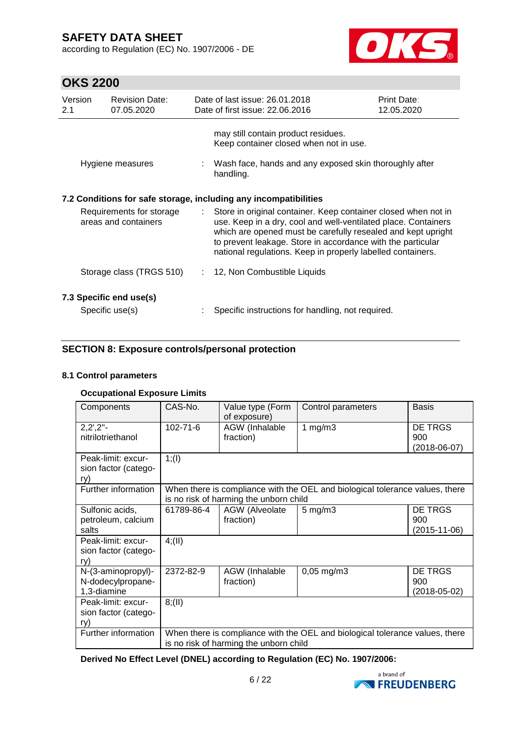according to Regulation (EC) No. 1907/2006 - DE



# **OKS 2200**

| Version<br>2.1                                   | <b>Revision Date:</b><br>07.05.2020                              |  | Date of last issue: 26.01.2018<br>Date of first issue: 22.06.2016                                                                                                                                                                                                                                                                | Print Date:<br>12.05.2020 |  |  |  |
|--------------------------------------------------|------------------------------------------------------------------|--|----------------------------------------------------------------------------------------------------------------------------------------------------------------------------------------------------------------------------------------------------------------------------------------------------------------------------------|---------------------------|--|--|--|
|                                                  | Hygiene measures                                                 |  | may still contain product residues.<br>Keep container closed when not in use.<br>: Wash face, hands and any exposed skin thoroughly after<br>handling.                                                                                                                                                                           |                           |  |  |  |
|                                                  | 7.2 Conditions for safe storage, including any incompatibilities |  |                                                                                                                                                                                                                                                                                                                                  |                           |  |  |  |
| Requirements for storage<br>areas and containers |                                                                  |  | : Store in original container. Keep container closed when not in<br>use. Keep in a dry, cool and well-ventilated place. Containers<br>which are opened must be carefully resealed and kept upright<br>to prevent leakage. Store in accordance with the particular<br>national regulations. Keep in properly labelled containers. |                           |  |  |  |
|                                                  | Storage class (TRGS 510)                                         |  | : 12, Non Combustible Liquids                                                                                                                                                                                                                                                                                                    |                           |  |  |  |
|                                                  | 7.3 Specific end use(s)                                          |  |                                                                                                                                                                                                                                                                                                                                  |                           |  |  |  |
|                                                  | Specific use(s)                                                  |  | Specific instructions for handling, not required.                                                                                                                                                                                                                                                                                |                           |  |  |  |

#### **SECTION 8: Exposure controls/personal protection**

#### **8.1 Control parameters**

#### **Occupational Exposure Limits**

| Components                                             | CAS-No.                                | Value type (Form<br>of exposure)       | Control parameters                                                           | <b>Basis</b>       |  |
|--------------------------------------------------------|----------------------------------------|----------------------------------------|------------------------------------------------------------------------------|--------------------|--|
| $2,2^{\prime},2^{\prime\prime}$ -<br>nitrilotriethanol | $102 - 71 - 6$                         | AGW (Inhalable<br>fraction)            | 1 $mg/m3$                                                                    | DE TRGS<br>900     |  |
|                                                        |                                        |                                        |                                                                              | $(2018-06-07)$     |  |
| Peak-limit: excur-                                     | 1; (1)                                 |                                        |                                                                              |                    |  |
| sion factor (catego-<br>ry)                            |                                        |                                        |                                                                              |                    |  |
| Further information                                    |                                        |                                        | When there is compliance with the OEL and biological tolerance values, there |                    |  |
|                                                        |                                        | is no risk of harming the unborn child |                                                                              |                    |  |
| Sulfonic acids,                                        | 61789-86-4                             | AGW (Alveolate                         | $5 \text{ mg/m}$ 3                                                           | DE TRGS            |  |
| petroleum, calcium                                     |                                        | fraction)                              |                                                                              | 900                |  |
| salts                                                  |                                        |                                        |                                                                              | $(2015 - 11 - 06)$ |  |
| Peak-limit: excur-                                     | 4(11)                                  |                                        |                                                                              |                    |  |
| sion factor (catego-                                   |                                        |                                        |                                                                              |                    |  |
| ry)                                                    |                                        |                                        |                                                                              |                    |  |
| N-(3-aminopropyl)-                                     | 2372-82-9                              | <b>AGW</b> (Inhalable                  | $0,05 \text{ mg/m}$ 3                                                        | <b>DE TRGS</b>     |  |
| N-dodecylpropane-                                      |                                        | fraction)                              |                                                                              | 900                |  |
| 1,3-diamine                                            |                                        |                                        |                                                                              | $(2018 - 05 - 02)$ |  |
| Peak-limit: excur-                                     | 8(11)                                  |                                        |                                                                              |                    |  |
| sion factor (catego-                                   |                                        |                                        |                                                                              |                    |  |
| ry)                                                    |                                        |                                        |                                                                              |                    |  |
| Further information                                    |                                        |                                        | When there is compliance with the OEL and biological tolerance values, there |                    |  |
|                                                        | is no risk of harming the unborn child |                                        |                                                                              |                    |  |

**Derived No Effect Level (DNEL) according to Regulation (EC) No. 1907/2006:**

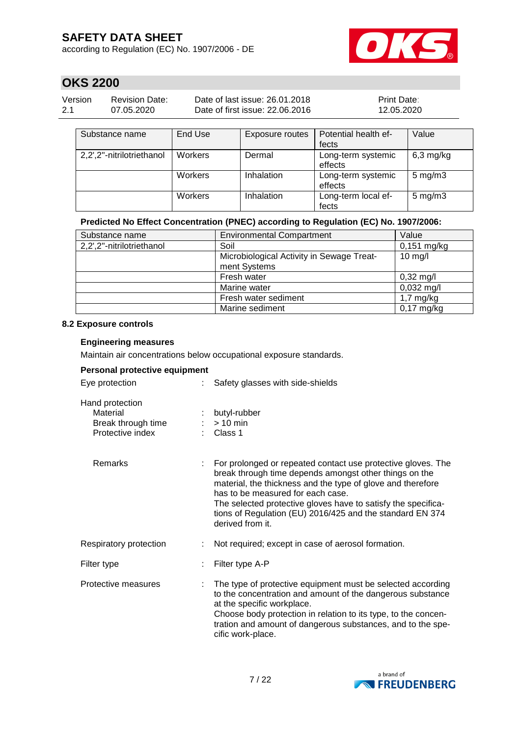according to Regulation (EC) No. 1907/2006 - DE



# **OKS 2200**

| Version | Revision Date: | Date of last issue: 26.01.2018  | <b>Print Date:</b> |
|---------|----------------|---------------------------------|--------------------|
| 2.1     | 07.05.2020     | Date of first issue: 22,06,2016 | 12.05.2020         |

| Substance name            | End Use | Exposure routes | Potential health ef-          | Value              |
|---------------------------|---------|-----------------|-------------------------------|--------------------|
|                           |         |                 | fects                         |                    |
| 2,2',2"-nitrilotriethanol | Workers | Dermal          | Long-term systemic<br>effects | $6,3$ mg/kg        |
|                           | Workers | Inhalation      | Long-term systemic<br>effects | $5 \text{ mg/m}$ 3 |
|                           | Workers | Inhalation      | Long-term local ef-<br>fects  | $5 \text{ mg/m}$ 3 |

#### **Predicted No Effect Concentration (PNEC) according to Regulation (EC) No. 1907/2006:**

| Substance name            | <b>Environmental Compartment</b>                          | Value               |
|---------------------------|-----------------------------------------------------------|---------------------|
| 2,2',2"-nitrilotriethanol | Soil                                                      | $0,151$ mg/kg       |
|                           | Microbiological Activity in Sewage Treat-<br>ment Systems | $10$ mg/l           |
|                           | Fresh water                                               | $0,32 \text{ mg/l}$ |
|                           | Marine water                                              | $0,032$ mg/l        |
|                           | Fresh water sediment                                      | $1,7$ mg/kg         |
|                           | Marine sediment                                           | $0,17$ mg/kg        |

#### **8.2 Exposure controls**

#### **Engineering measures**

Maintain air concentrations below occupational exposure standards.

#### **Personal protective equipment**

| Eye protection                                                        | Safety glasses with side-shields                                                                                                                                                                                                                                                                                                                                             |
|-----------------------------------------------------------------------|------------------------------------------------------------------------------------------------------------------------------------------------------------------------------------------------------------------------------------------------------------------------------------------------------------------------------------------------------------------------------|
| Hand protection<br>Material<br>Break through time<br>Protective index | butyl-rubber<br>$> 10$ min<br>Class 1                                                                                                                                                                                                                                                                                                                                        |
| Remarks                                                               | For prolonged or repeated contact use protective gloves. The<br>break through time depends amongst other things on the<br>material, the thickness and the type of glove and therefore<br>has to be measured for each case.<br>The selected protective gloves have to satisfy the specifica-<br>tions of Regulation (EU) 2016/425 and the standard EN 374<br>derived from it. |
| Respiratory protection                                                | Not required; except in case of aerosol formation.                                                                                                                                                                                                                                                                                                                           |
| Filter type                                                           | Filter type A-P                                                                                                                                                                                                                                                                                                                                                              |
| Protective measures                                                   | The type of protective equipment must be selected according<br>to the concentration and amount of the dangerous substance<br>at the specific workplace.<br>Choose body protection in relation to its type, to the concen-<br>tration and amount of dangerous substances, and to the spe-<br>cific work-place.                                                                |

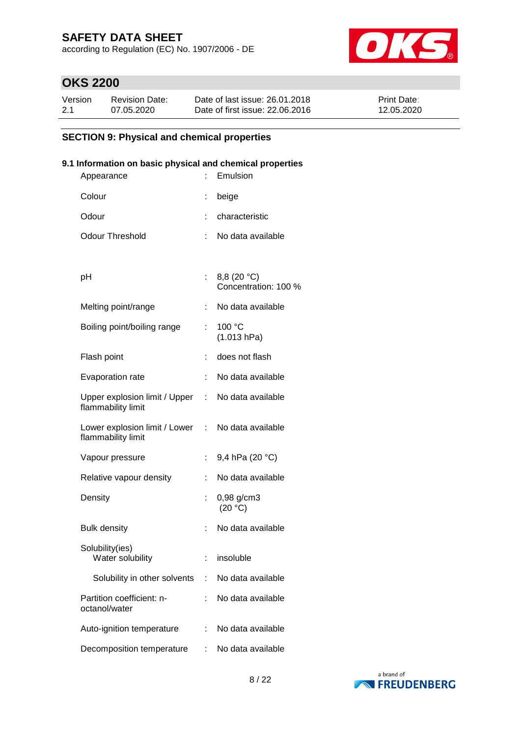according to Regulation (EC) No. 1907/2006 - DE



# **OKS 2200**

| Version | <b>Revision Date:</b> | Date of last issue: 26.01.2018  | <b>Print Date:</b> |
|---------|-----------------------|---------------------------------|--------------------|
| 2.1     | 07.05.2020            | Date of first issue: 22.06.2016 | 12.05.2020         |

### **SECTION 9: Physical and chemical properties**

#### **9.1 Information on basic physical and chemical properties**

| Appearance                                          |    | Emulsion                            |
|-----------------------------------------------------|----|-------------------------------------|
| Colour                                              | t  | beige                               |
| Odour                                               |    | characteristic                      |
| <b>Odour Threshold</b>                              |    | No data available                   |
|                                                     |    |                                     |
| рH                                                  |    | 8,8 (20 °C)<br>Concentration: 100 % |
| Melting point/range                                 | t. | No data available                   |
| Boiling point/boiling range                         | ÷  | 100 °C<br>(1.013 hPa)               |
| Flash point                                         | ÷  | does not flash                      |
| Evaporation rate                                    | t. | No data available                   |
| Upper explosion limit / Upper<br>flammability limit |    | : No data available                 |
| Lower explosion limit / Lower<br>flammability limit |    | : No data available                 |
| Vapour pressure                                     |    | 9,4 hPa (20 °C)                     |
| Relative vapour density                             | ÷. | No data available                   |
| Density                                             |    | 0,98 g/cm3<br>(20 °C)               |
| <b>Bulk density</b>                                 | t. | No data available                   |
| Solubility(ies)<br>Water solubility                 | t. | insoluble                           |
| Solubility in other solvents                        | t. | No data available                   |
| Partition coefficient: n-<br>octanol/water          |    | No data available                   |
| Auto-ignition temperature                           |    | No data available                   |
| Decomposition temperature                           | t  | No data available                   |

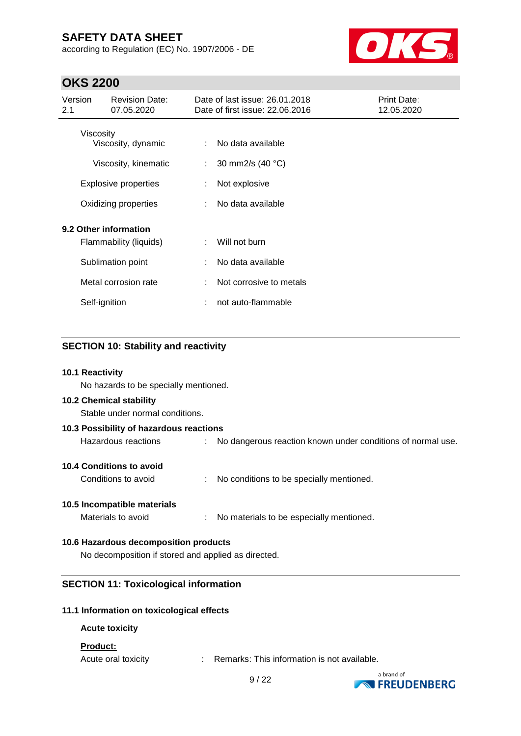according to Regulation (EC) No. 1907/2006 - DE



# **OKS 2200**

| Version<br>2.1                                  | <b>Revision Date:</b><br>07.05.2020        |        | Date of last issue: 26.01.2018<br>Date of first issue: 22.06.2016 | Print Date:<br>12.05.2020 |
|-------------------------------------------------|--------------------------------------------|--------|-------------------------------------------------------------------|---------------------------|
| Viscosity                                       | Viscosity, dynamic<br>Viscosity, kinematic | ÷<br>÷ | No data available<br>30 mm2/s (40 °C)                             |                           |
|                                                 | <b>Explosive properties</b>                |        | Not explosive                                                     |                           |
| Oxidizing properties                            |                                            | ÷      | No data available                                                 |                           |
| 9.2 Other information<br>Flammability (liquids) |                                            | ÷      | Will not burn                                                     |                           |
|                                                 | Sublimation point                          | ÷      | No data available                                                 |                           |
|                                                 | Metal corrosion rate                       | ÷      | Not corrosive to metals                                           |                           |
|                                                 | Self-ignition                              |        | not auto-flammable                                                |                           |

#### **SECTION 10: Stability and reactivity**

#### **10.1 Reactivity**

No hazards to be specially mentioned.

#### **10.2 Chemical stability**

Stable under normal conditions.

| 10.3 Possibility of hazardous reactions |  |                                                               |  |  |  |  |
|-----------------------------------------|--|---------------------------------------------------------------|--|--|--|--|
| Hazardous reactions                     |  | : No dangerous reaction known under conditions of normal use. |  |  |  |  |
| 10.4 Conditions to avoid                |  |                                                               |  |  |  |  |

Conditions to avoid : No conditions to be specially mentioned.

#### **10.5 Incompatible materials**

Materials to avoid : No materials to be especially mentioned.

#### **10.6 Hazardous decomposition products**

No decomposition if stored and applied as directed.

#### **SECTION 11: Toxicological information**

#### **11.1 Information on toxicological effects**

#### **Acute toxicity**

#### **Product:**

Acute oral toxicity : Remarks: This information is not available.



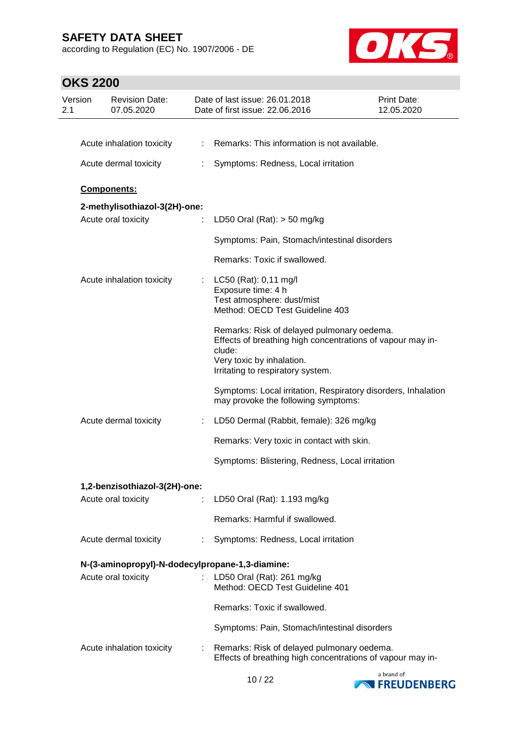according to Regulation (EC) No. 1907/2006 - DE



| Version<br>2.1 | <b>Revision Date:</b><br>07.05.2020             |    | Date of last issue: 26.01.2018<br>Date of first issue: 22.06.2016                                                                                                                    | Print Date:<br>12.05.2020 |
|----------------|-------------------------------------------------|----|--------------------------------------------------------------------------------------------------------------------------------------------------------------------------------------|---------------------------|
|                |                                                 |    |                                                                                                                                                                                      |                           |
|                | Acute inhalation toxicity                       |    | : Remarks: This information is not available.                                                                                                                                        |                           |
|                | Acute dermal toxicity                           |    | Symptoms: Redness, Local irritation                                                                                                                                                  |                           |
|                | <b>Components:</b>                              |    |                                                                                                                                                                                      |                           |
|                | 2-methylisothiazol-3(2H)-one:                   |    |                                                                                                                                                                                      |                           |
|                | Acute oral toxicity                             | ÷  | LD50 Oral (Rat): $>$ 50 mg/kg                                                                                                                                                        |                           |
|                |                                                 |    | Symptoms: Pain, Stomach/intestinal disorders                                                                                                                                         |                           |
|                |                                                 |    | Remarks: Toxic if swallowed.                                                                                                                                                         |                           |
|                | Acute inhalation toxicity                       |    | : LC50 (Rat): 0,11 mg/l<br>Exposure time: 4 h<br>Test atmosphere: dust/mist<br>Method: OECD Test Guideline 403                                                                       |                           |
|                |                                                 |    | Remarks: Risk of delayed pulmonary oedema.<br>Effects of breathing high concentrations of vapour may in-<br>clude:<br>Very toxic by inhalation.<br>Irritating to respiratory system. |                           |
|                |                                                 |    | Symptoms: Local irritation, Respiratory disorders, Inhalation<br>may provoke the following symptoms:                                                                                 |                           |
|                | Acute dermal toxicity                           | t. | LD50 Dermal (Rabbit, female): 326 mg/kg                                                                                                                                              |                           |
|                |                                                 |    | Remarks: Very toxic in contact with skin.                                                                                                                                            |                           |
|                |                                                 |    | Symptoms: Blistering, Redness, Local irritation                                                                                                                                      |                           |
|                | 1,2-benzisothiazol-3(2H)-one:                   |    |                                                                                                                                                                                      |                           |
|                | Acute oral toxicity                             | ÷. | LD50 Oral (Rat): 1.193 mg/kg                                                                                                                                                         |                           |
|                |                                                 |    | Remarks: Harmful if swallowed.                                                                                                                                                       |                           |
|                | Acute dermal toxicity                           | ÷  | Symptoms: Redness, Local irritation                                                                                                                                                  |                           |
|                | N-(3-aminopropyl)-N-dodecylpropane-1,3-diamine: |    |                                                                                                                                                                                      |                           |
|                | Acute oral toxicity                             | t. | LD50 Oral (Rat): 261 mg/kg<br>Method: OECD Test Guideline 401                                                                                                                        |                           |
|                |                                                 |    | Remarks: Toxic if swallowed.                                                                                                                                                         |                           |
|                |                                                 |    | Symptoms: Pain, Stomach/intestinal disorders                                                                                                                                         |                           |
|                | Acute inhalation toxicity                       | ÷. | Remarks: Risk of delayed pulmonary oedema.<br>Effects of breathing high concentrations of vapour may in-                                                                             |                           |

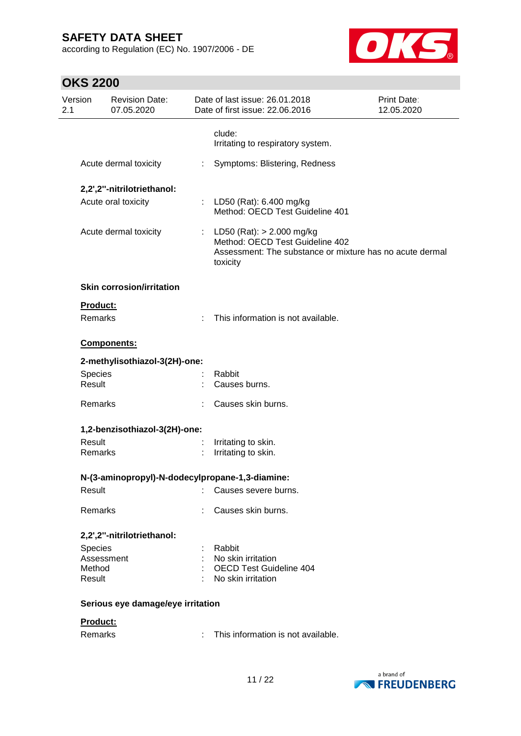according to Regulation (EC) No. 1907/2006 - DE



| Version<br>2.1 |                          | <b>Revision Date:</b><br>07.05.2020             |   | Date of last issue: 26.01.2018<br>Date of first issue: 22.06.2016                                                                        | Print Date:<br>12.05.2020 |
|----------------|--------------------------|-------------------------------------------------|---|------------------------------------------------------------------------------------------------------------------------------------------|---------------------------|
|                |                          |                                                 |   | clude:<br>Irritating to respiratory system.                                                                                              |                           |
|                |                          | Acute dermal toxicity                           | ÷ | Symptoms: Blistering, Redness                                                                                                            |                           |
|                |                          | 2,2',2"-nitrilotriethanol:                      |   |                                                                                                                                          |                           |
|                |                          | Acute oral toxicity                             |   | : LD50 (Rat): 6.400 mg/kg<br>Method: OECD Test Guideline 401                                                                             |                           |
|                |                          | Acute dermal toxicity                           |   | : LD50 (Rat): $> 2.000$ mg/kg<br>Method: OECD Test Guideline 402<br>Assessment: The substance or mixture has no acute dermal<br>toxicity |                           |
|                |                          | <b>Skin corrosion/irritation</b>                |   |                                                                                                                                          |                           |
|                | Product:                 |                                                 |   |                                                                                                                                          |                           |
|                | Remarks                  |                                                 |   | This information is not available.                                                                                                       |                           |
|                |                          | Components:                                     |   |                                                                                                                                          |                           |
|                |                          | 2-methylisothiazol-3(2H)-one:                   |   |                                                                                                                                          |                           |
|                | <b>Species</b><br>Result |                                                 |   | Rabbit<br>Causes burns.                                                                                                                  |                           |
|                | Remarks                  |                                                 |   | Causes skin burns.                                                                                                                       |                           |
|                |                          | 1,2-benzisothiazol-3(2H)-one:                   |   |                                                                                                                                          |                           |
|                | Result<br>Remarks        |                                                 |   | Irritating to skin.<br>Irritating to skin.                                                                                               |                           |
|                |                          | N-(3-aminopropyl)-N-dodecylpropane-1,3-diamine: |   |                                                                                                                                          |                           |
|                | Result                   |                                                 |   | Causes severe burns.                                                                                                                     |                           |
|                | Remarks                  |                                                 |   | Causes skin burns.                                                                                                                       |                           |
|                |                          | 2,2',2"-nitrilotriethanol:                      |   |                                                                                                                                          |                           |
|                | <b>Species</b>           |                                                 |   | Rabbit                                                                                                                                   |                           |
|                | Assessment<br>Method     |                                                 |   | No skin irritation<br><b>OECD Test Guideline 404</b>                                                                                     |                           |
|                | Result                   |                                                 |   | No skin irritation                                                                                                                       |                           |
|                |                          | Serious eye damage/eye irritation               |   |                                                                                                                                          |                           |
|                | Product:                 |                                                 |   |                                                                                                                                          |                           |
|                | Remarks                  |                                                 |   | This information is not available.                                                                                                       |                           |

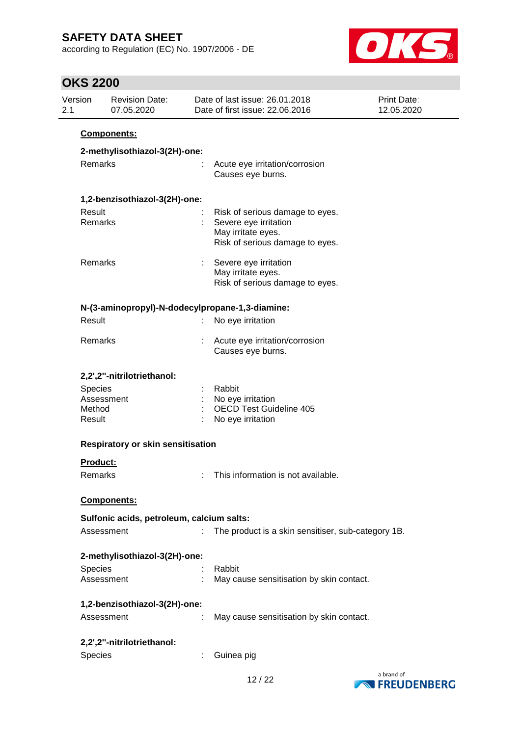according to Regulation (EC) No. 1907/2006 - DE



| Version<br>2.1                     | <b>Revision Date:</b><br>07.05.2020             | Date of last issue: 26.01.2018<br>Date of first issue: 22.06.2016                                                 | Print Date:<br>12.05.2020 |
|------------------------------------|-------------------------------------------------|-------------------------------------------------------------------------------------------------------------------|---------------------------|
|                                    | Components:                                     |                                                                                                                   |                           |
|                                    | 2-methylisothiazol-3(2H)-one:                   |                                                                                                                   |                           |
| Remarks                            |                                                 | Acute eye irritation/corrosion<br>Causes eye burns.                                                               |                           |
|                                    | 1,2-benzisothiazol-3(2H)-one:                   |                                                                                                                   |                           |
| Result<br>Remarks                  |                                                 | Risk of serious damage to eyes.<br>Severe eye irritation<br>May irritate eyes.<br>Risk of serious damage to eyes. |                           |
| Remarks                            |                                                 | Severe eye irritation<br>May irritate eyes.<br>Risk of serious damage to eyes.                                    |                           |
|                                    | N-(3-aminopropyl)-N-dodecylpropane-1,3-diamine: |                                                                                                                   |                           |
| Result                             |                                                 | No eye irritation                                                                                                 |                           |
| Remarks                            |                                                 | Acute eye irritation/corrosion<br>Causes eye burns.                                                               |                           |
|                                    | 2,2',2"-nitrilotriethanol:                      |                                                                                                                   |                           |
| <b>Species</b><br>Method<br>Result | Assessment                                      | Rabbit<br>No eye irritation<br><b>OECD Test Guideline 405</b><br>No eye irritation                                |                           |
|                                    | <b>Respiratory or skin sensitisation</b>        |                                                                                                                   |                           |
| Product:                           |                                                 |                                                                                                                   |                           |
| Remarks                            |                                                 | This information is not available.                                                                                |                           |
|                                    | Components:                                     |                                                                                                                   |                           |
|                                    | Sulfonic acids, petroleum, calcium salts:       |                                                                                                                   |                           |
|                                    | Assessment                                      | The product is a skin sensitiser, sub-category 1B.                                                                |                           |
|                                    | 2-methylisothiazol-3(2H)-one:                   |                                                                                                                   |                           |
| <b>Species</b>                     | Assessment                                      | Rabbit<br>May cause sensitisation by skin contact.                                                                |                           |
|                                    | 1,2-benzisothiazol-3(2H)-one:                   |                                                                                                                   |                           |
|                                    | Assessment                                      | May cause sensitisation by skin contact.                                                                          |                           |
|                                    | 2,2',2"-nitrilotriethanol:                      |                                                                                                                   |                           |
| <b>Species</b>                     |                                                 | Guinea pig                                                                                                        |                           |

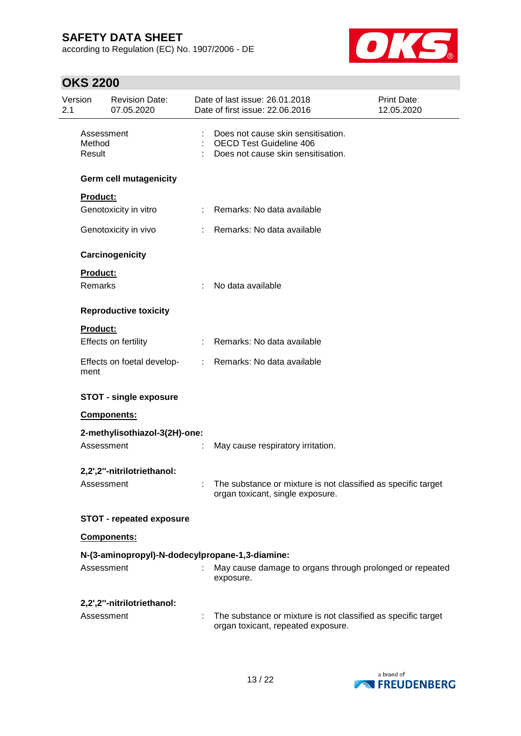according to Regulation (EC) No. 1907/2006 - DE



| Version<br>2.1 |                                | <b>Revision Date:</b><br>07.05.2020             |                               | Date of last issue: 26.01.2018<br>Print Date:<br>Date of first issue: 22.06.2016<br>12.05.2020             |  |
|----------------|--------------------------------|-------------------------------------------------|-------------------------------|------------------------------------------------------------------------------------------------------------|--|
|                | Assessment<br>Method<br>Result |                                                 |                               | Does not cause skin sensitisation.<br><b>OECD Test Guideline 406</b><br>Does not cause skin sensitisation. |  |
|                |                                | <b>Germ cell mutagenicity</b>                   |                               |                                                                                                            |  |
|                | Product:                       |                                                 |                               |                                                                                                            |  |
|                |                                | Genotoxicity in vitro                           | t.                            | Remarks: No data available                                                                                 |  |
|                |                                | Genotoxicity in vivo                            |                               | Remarks: No data available                                                                                 |  |
|                |                                | Carcinogenicity                                 |                               |                                                                                                            |  |
|                | Product:                       |                                                 |                               |                                                                                                            |  |
|                | Remarks                        |                                                 |                               | No data available                                                                                          |  |
|                |                                | <b>Reproductive toxicity</b>                    |                               |                                                                                                            |  |
|                | <b>Product:</b>                |                                                 |                               |                                                                                                            |  |
|                |                                | Effects on fertility                            |                               | : Remarks: No data available                                                                               |  |
|                | ment                           | Effects on foetal develop-                      | $\mathcal{I}^{\mathcal{I}}$ . | Remarks: No data available                                                                                 |  |
|                |                                | <b>STOT - single exposure</b>                   |                               |                                                                                                            |  |
|                |                                | <b>Components:</b>                              |                               |                                                                                                            |  |
|                |                                | 2-methylisothiazol-3(2H)-one:                   |                               |                                                                                                            |  |
|                | Assessment                     |                                                 |                               | May cause respiratory irritation.                                                                          |  |
|                |                                | 2,2',2"-nitrilotriethanol:                      |                               |                                                                                                            |  |
|                | Assessment                     |                                                 |                               | : The substance or mixture is not classified as specific target<br>organ toxicant, single exposure.        |  |
|                |                                | <b>STOT - repeated exposure</b>                 |                               |                                                                                                            |  |
|                |                                | Components:                                     |                               |                                                                                                            |  |
|                |                                | N-(3-aminopropyl)-N-dodecylpropane-1,3-diamine: |                               |                                                                                                            |  |
|                | Assessment                     |                                                 |                               | May cause damage to organs through prolonged or repeated<br>exposure.                                      |  |
|                |                                | 2,2',2"-nitrilotriethanol:                      |                               |                                                                                                            |  |
|                | Assessment                     |                                                 |                               | The substance or mixture is not classified as specific target<br>organ toxicant, repeated exposure.        |  |

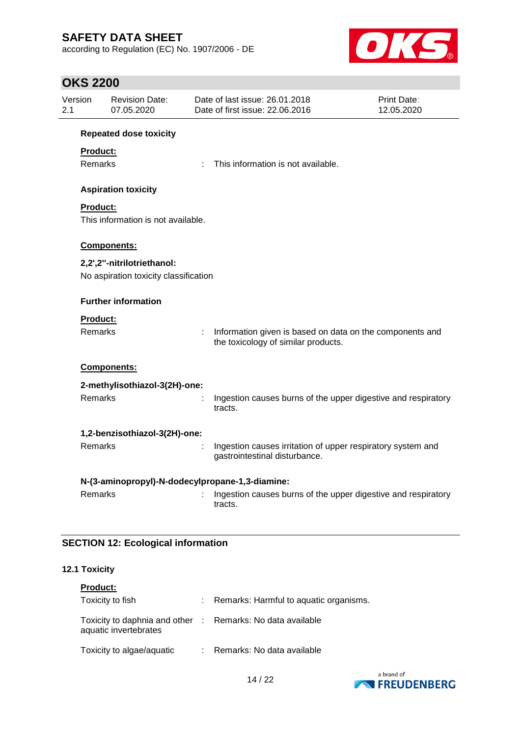according to Regulation (EC) No. 1907/2006 - DE



# **OKS 2200**

| Version<br>2.1 |                     | <b>Revision Date:</b><br>07.05.2020             |    | Date of last issue: 26.01.2018<br>Date of first issue: 22.06.2016                               | Print Date:<br>12.05.2020 |
|----------------|---------------------|-------------------------------------------------|----|-------------------------------------------------------------------------------------------------|---------------------------|
|                |                     | <b>Repeated dose toxicity</b>                   |    |                                                                                                 |                           |
|                | <b>Product:</b>     |                                                 |    |                                                                                                 |                           |
|                | Remarks             |                                                 |    | This information is not available.                                                              |                           |
|                |                     | <b>Aspiration toxicity</b>                      |    |                                                                                                 |                           |
|                | <b>Product:</b>     |                                                 |    |                                                                                                 |                           |
|                |                     | This information is not available.              |    |                                                                                                 |                           |
|                |                     | Components:                                     |    |                                                                                                 |                           |
|                |                     | 2,2',2"-nitrilotriethanol:                      |    |                                                                                                 |                           |
|                |                     | No aspiration toxicity classification           |    |                                                                                                 |                           |
|                |                     | <b>Further information</b>                      |    |                                                                                                 |                           |
|                |                     |                                                 |    |                                                                                                 |                           |
|                | Product:<br>Remarks |                                                 | ÷. | Information given is based on data on the components and<br>the toxicology of similar products. |                           |
|                |                     | <b>Components:</b>                              |    |                                                                                                 |                           |
|                |                     | 2-methylisothiazol-3(2H)-one:                   |    |                                                                                                 |                           |
|                | Remarks             |                                                 |    | Ingestion causes burns of the upper digestive and respiratory<br>tracts.                        |                           |
|                |                     | 1,2-benzisothiazol-3(2H)-one:                   |    |                                                                                                 |                           |
|                | Remarks             |                                                 |    | Ingestion causes irritation of upper respiratory system and<br>gastrointestinal disturbance.    |                           |
|                |                     | N-(3-aminopropyl)-N-dodecylpropane-1,3-diamine: |    |                                                                                                 |                           |
|                | <b>Remarks</b>      |                                                 |    | Ingestion causes burns of the upper digestive and respiratory<br>tracts.                        |                           |

### **SECTION 12: Ecological information**

#### **12.1 Toxicity**

| <b>Product:</b>                                                                     |                                        |
|-------------------------------------------------------------------------------------|----------------------------------------|
| Toxicity to fish                                                                    | Remarks: Harmful to aquatic organisms. |
| Toxicity to daphnia and other : Remarks: No data available<br>aquatic invertebrates |                                        |
| Toxicity to algae/aquatic                                                           | : Remarks: No data available           |

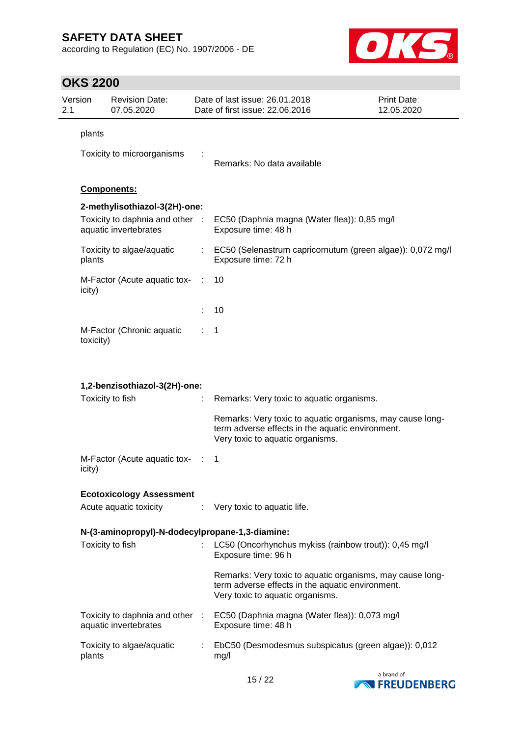according to Regulation (EC) No. 1907/2006 - DE



| Version<br>2.1 |           | <b>Revision Date:</b><br>07.05.2020                      |           | Date of last issue: 26.01.2018<br>Date of first issue: 22.06.2016                                                                                 | Print Date:<br>12.05.2020 |
|----------------|-----------|----------------------------------------------------------|-----------|---------------------------------------------------------------------------------------------------------------------------------------------------|---------------------------|
|                | plants    |                                                          |           |                                                                                                                                                   |                           |
|                |           | Toxicity to microorganisms                               |           | Remarks: No data available                                                                                                                        |                           |
|                |           | Components:                                              |           |                                                                                                                                                   |                           |
|                |           | 2-methylisothiazol-3(2H)-one:                            |           |                                                                                                                                                   |                           |
|                |           | Toxicity to daphnia and other :<br>aquatic invertebrates |           | EC50 (Daphnia magna (Water flea)): 0,85 mg/l<br>Exposure time: 48 h                                                                               |                           |
|                | plants    | Toxicity to algae/aquatic                                |           | : EC50 (Selenastrum capricornutum (green algae)): 0,072 mg/l<br>Exposure time: 72 h                                                               |                           |
|                | icity)    | M-Factor (Acute aquatic tox-                             | $\sim$ 1. | 10                                                                                                                                                |                           |
|                |           |                                                          |           | 10                                                                                                                                                |                           |
|                | toxicity) | M-Factor (Chronic aquatic                                |           | 1                                                                                                                                                 |                           |
|                |           |                                                          |           |                                                                                                                                                   |                           |
|                |           | 1,2-benzisothiazol-3(2H)-one:                            |           |                                                                                                                                                   |                           |
|                |           | Toxicity to fish                                         |           | Remarks: Very toxic to aquatic organisms.                                                                                                         |                           |
|                |           |                                                          |           | Remarks: Very toxic to aquatic organisms, may cause long-<br>term adverse effects in the aquatic environment.<br>Very toxic to aquatic organisms. |                           |
|                | icity)    | M-Factor (Acute aquatic tox-                             |           | 1                                                                                                                                                 |                           |
|                |           | <b>Ecotoxicology Assessment</b>                          |           |                                                                                                                                                   |                           |
|                |           | Acute aquatic toxicity                                   |           | : Very toxic to aquatic life.                                                                                                                     |                           |
|                |           | N-(3-aminopropyl)-N-dodecylpropane-1,3-diamine:          |           |                                                                                                                                                   |                           |
|                |           | Toxicity to fish                                         |           | LC50 (Oncorhynchus mykiss (rainbow trout)): 0,45 mg/l<br>Exposure time: 96 h                                                                      |                           |
|                |           |                                                          |           | Remarks: Very toxic to aquatic organisms, may cause long-<br>term adverse effects in the aquatic environment.<br>Very toxic to aquatic organisms. |                           |
|                |           | aquatic invertebrates                                    |           | Toxicity to daphnia and other : EC50 (Daphnia magna (Water flea)): 0,073 mg/l<br>Exposure time: 48 h                                              |                           |
|                | plants    | Toxicity to algae/aquatic                                |           | : EbC50 (Desmodesmus subspicatus (green algae)): 0,012<br>mg/l                                                                                    |                           |

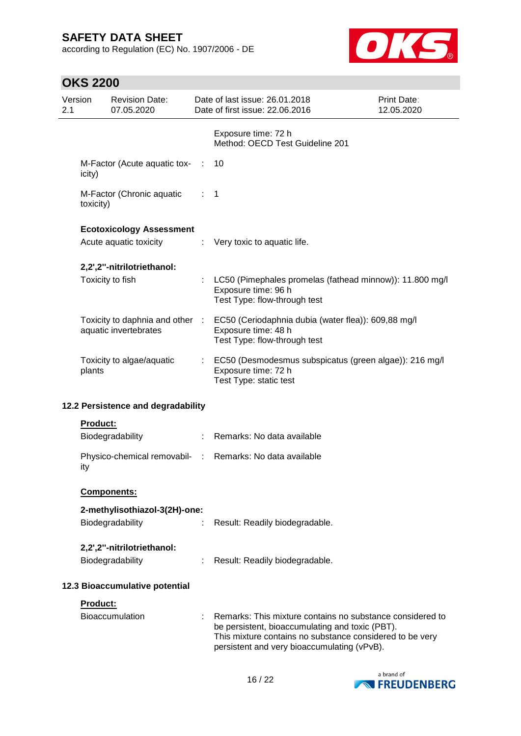according to Regulation (EC) No. 1907/2006 - DE



| Version<br>2.1 |                 | <b>Revision Date:</b><br>07.05.2020                      |     | Date of last issue: 26.01.2018<br>Date of first issue: 22.06.2016                                                                                                                                                       | <b>Print Date:</b><br>12.05.2020 |
|----------------|-----------------|----------------------------------------------------------|-----|-------------------------------------------------------------------------------------------------------------------------------------------------------------------------------------------------------------------------|----------------------------------|
|                |                 |                                                          |     | Exposure time: 72 h<br>Method: OECD Test Guideline 201                                                                                                                                                                  |                                  |
|                | icity)          | M-Factor (Acute aquatic tox-                             | -11 | 10                                                                                                                                                                                                                      |                                  |
|                | toxicity)       | M-Factor (Chronic aquatic                                |     | $\mathbf 1$                                                                                                                                                                                                             |                                  |
|                |                 | <b>Ecotoxicology Assessment</b>                          |     |                                                                                                                                                                                                                         |                                  |
|                |                 | Acute aquatic toxicity                                   | ÷.  | Very toxic to aquatic life.                                                                                                                                                                                             |                                  |
|                |                 | 2,2',2"-nitrilotriethanol:                               |     |                                                                                                                                                                                                                         |                                  |
|                |                 | Toxicity to fish                                         |     | LC50 (Pimephales promelas (fathead minnow)): 11.800 mg/l<br>Exposure time: 96 h<br>Test Type: flow-through test                                                                                                         |                                  |
|                |                 | Toxicity to daphnia and other :<br>aquatic invertebrates |     | EC50 (Ceriodaphnia dubia (water flea)): 609,88 mg/l<br>Exposure time: 48 h<br>Test Type: flow-through test                                                                                                              |                                  |
|                | plants          | Toxicity to algae/aquatic                                | t.  | EC50 (Desmodesmus subspicatus (green algae)): 216 mg/l<br>Exposure time: 72 h<br>Test Type: static test                                                                                                                 |                                  |
|                |                 | 12.2 Persistence and degradability                       |     |                                                                                                                                                                                                                         |                                  |
|                | <b>Product:</b> |                                                          |     |                                                                                                                                                                                                                         |                                  |
|                |                 | Biodegradability                                         |     | Remarks: No data available                                                                                                                                                                                              |                                  |
|                | ity             | Physico-chemical removabil- :                            |     | Remarks: No data available                                                                                                                                                                                              |                                  |
|                |                 | Components:                                              |     |                                                                                                                                                                                                                         |                                  |
|                |                 | 2-methylisothiazol-3(2H)-one:                            |     |                                                                                                                                                                                                                         |                                  |
|                |                 | Biodegradability                                         |     | Result: Readily biodegradable.                                                                                                                                                                                          |                                  |
|                |                 | 2,2',2"-nitrilotriethanol:                               |     |                                                                                                                                                                                                                         |                                  |
|                |                 | Biodegradability                                         |     | Result: Readily biodegradable.                                                                                                                                                                                          |                                  |
|                |                 | 12.3 Bioaccumulative potential                           |     |                                                                                                                                                                                                                         |                                  |
|                | Product:        |                                                          |     |                                                                                                                                                                                                                         |                                  |
|                |                 | Bioaccumulation                                          |     | Remarks: This mixture contains no substance considered to<br>be persistent, bioaccumulating and toxic (PBT).<br>This mixture contains no substance considered to be very<br>persistent and very bioaccumulating (vPvB). |                                  |

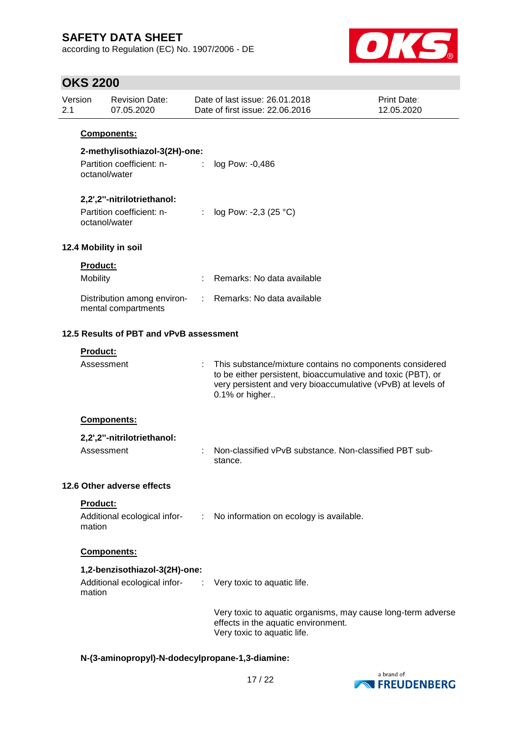according to Regulation (EC) No. 1907/2006 - DE



# **OKS 2200**

| Version<br>2.1 |                 | <b>Revision Date:</b><br>07.05.2020                | Date of last issue: 26.01.2018<br>Date of first issue: 22.06.2016                                                                                                                                          | Print Date:<br>12.05.2020 |
|----------------|-----------------|----------------------------------------------------|------------------------------------------------------------------------------------------------------------------------------------------------------------------------------------------------------------|---------------------------|
|                |                 | <b>Components:</b>                                 |                                                                                                                                                                                                            |                           |
|                |                 | 2-methylisothiazol-3(2H)-one:                      |                                                                                                                                                                                                            |                           |
|                |                 | Partition coefficient: n-<br>octanol/water         | log Pow: -0,486                                                                                                                                                                                            |                           |
|                |                 | 2,2',2"-nitrilotriethanol:                         |                                                                                                                                                                                                            |                           |
|                |                 | Partition coefficient: n-<br>octanol/water         | : $log Pow: -2,3 (25 °C)$                                                                                                                                                                                  |                           |
|                |                 | 12.4 Mobility in soil                              |                                                                                                                                                                                                            |                           |
|                | <b>Product:</b> |                                                    |                                                                                                                                                                                                            |                           |
|                | Mobility        |                                                    | Remarks: No data available                                                                                                                                                                                 |                           |
|                |                 | Distribution among environ-<br>mental compartments | : Remarks: No data available                                                                                                                                                                               |                           |
|                |                 | 12.5 Results of PBT and vPvB assessment            |                                                                                                                                                                                                            |                           |
|                | Product:        |                                                    |                                                                                                                                                                                                            |                           |
|                | Assessment      |                                                    | This substance/mixture contains no components considered<br>to be either persistent, bioaccumulative and toxic (PBT), or<br>very persistent and very bioaccumulative (vPvB) at levels of<br>0.1% or higher |                           |
|                |                 | Components:                                        |                                                                                                                                                                                                            |                           |
|                |                 | 2,2',2"-nitrilotriethanol:                         |                                                                                                                                                                                                            |                           |
|                | Assessment      |                                                    | Non-classified vPvB substance. Non-classified PBT sub-<br>stance.                                                                                                                                          |                           |
|                |                 | 12.6 Other adverse effects                         |                                                                                                                                                                                                            |                           |
|                | Product:        |                                                    |                                                                                                                                                                                                            |                           |
|                | mation          |                                                    | Additional ecological infor- : No information on ecology is available.                                                                                                                                     |                           |
|                |                 | Components:                                        |                                                                                                                                                                                                            |                           |
|                |                 | 1,2-benzisothiazol-3(2H)-one:                      |                                                                                                                                                                                                            |                           |
|                | mation          |                                                    | Additional ecological infor- : Very toxic to aquatic life.                                                                                                                                                 |                           |
|                |                 |                                                    | Very toxic to aquatic organisms, may cause long-term adverse<br>effects in the aquatic environment.<br>Very toxic to aquatic life.                                                                         |                           |

### **N-(3-aminopropyl)-N-dodecylpropane-1,3-diamine:**

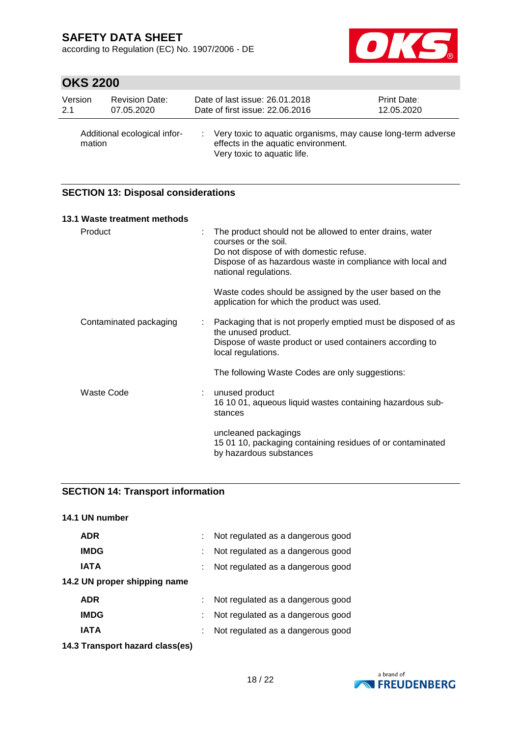according to Regulation (EC) No. 1907/2006 - DE



# **OKS 2200**

| Version | <b>Revision Date:</b>        | Date of last issue: 26.01.2018                                                                                                     | Print Date: |
|---------|------------------------------|------------------------------------------------------------------------------------------------------------------------------------|-------------|
| 2.1     | 07.05.2020                   | Date of first issue: 22.06.2016                                                                                                    | 12.05.2020  |
| mation  | Additional ecological infor- | Very toxic to aquatic organisms, may cause long-term adverse<br>effects in the aquatic environment.<br>Very toxic to aquatic life. |             |

#### **SECTION 13: Disposal considerations**

| 13.1 Waste treatment methods |                                                                                                                                                                                                                    |
|------------------------------|--------------------------------------------------------------------------------------------------------------------------------------------------------------------------------------------------------------------|
| Product                      | The product should not be allowed to enter drains, water<br>courses or the soil.<br>Do not dispose of with domestic refuse.<br>Dispose of as hazardous waste in compliance with local and<br>national regulations. |
|                              | Waste codes should be assigned by the user based on the<br>application for which the product was used.                                                                                                             |
| Contaminated packaging       | Packaging that is not properly emptied must be disposed of as<br>the unused product.<br>Dispose of waste product or used containers according to<br>local regulations.                                             |
|                              | The following Waste Codes are only suggestions:                                                                                                                                                                    |
| Waste Code                   | unused product<br>16 10 01, aqueous liquid wastes containing hazardous sub-<br>stances                                                                                                                             |
|                              | uncleaned packagings<br>15 01 10, packaging containing residues of or contaminated<br>by hazardous substances                                                                                                      |

#### **SECTION 14: Transport information**

| 14.1 UN number               |                                   |
|------------------------------|-----------------------------------|
| <b>ADR</b>                   | Not regulated as a dangerous good |
| <b>IMDG</b>                  | Not regulated as a dangerous good |
| <b>IATA</b>                  | Not regulated as a dangerous good |
| 14.2 UN proper shipping name |                                   |
| <b>ADR</b>                   | Not regulated as a dangerous good |
| <b>IMDG</b>                  | Not regulated as a dangerous good |
| IATA                         | Not regulated as a dangerous good |

**14.3 Transport hazard class(es)**

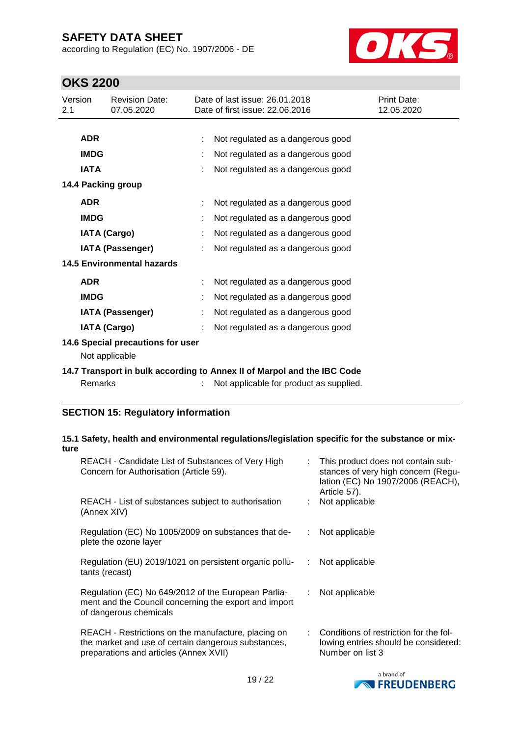according to Regulation (EC) No. 1907/2006 - DE



# **OKS 2200**

| Version<br>2.1 |                     | <b>Revision Date:</b><br>07.05.2020                 | Date of last issue: 26.01.2018<br>Date of first issue: 22.06.2016       | Print Date:<br>12.05.2020 |
|----------------|---------------------|-----------------------------------------------------|-------------------------------------------------------------------------|---------------------------|
|                |                     |                                                     |                                                                         |                           |
|                | <b>ADR</b>          |                                                     | Not regulated as a dangerous good                                       |                           |
|                | <b>IMDG</b>         |                                                     | Not regulated as a dangerous good                                       |                           |
|                | <b>IATA</b>         |                                                     | Not regulated as a dangerous good                                       |                           |
|                |                     | 14.4 Packing group                                  |                                                                         |                           |
|                | <b>ADR</b>          |                                                     | Not regulated as a dangerous good                                       |                           |
|                | <b>IMDG</b>         |                                                     | Not regulated as a dangerous good                                       |                           |
|                | <b>IATA (Cargo)</b> |                                                     | Not regulated as a dangerous good                                       |                           |
|                |                     | <b>IATA (Passenger)</b>                             | Not regulated as a dangerous good                                       |                           |
|                |                     | <b>14.5 Environmental hazards</b>                   |                                                                         |                           |
|                | <b>ADR</b>          |                                                     | Not regulated as a dangerous good                                       |                           |
|                | <b>IMDG</b>         |                                                     | Not regulated as a dangerous good                                       |                           |
|                |                     | <b>IATA (Passenger)</b>                             | Not regulated as a dangerous good                                       |                           |
|                | <b>IATA (Cargo)</b> |                                                     | Not regulated as a dangerous good                                       |                           |
|                |                     | 14.6 Special precautions for user<br>Not applicable |                                                                         |                           |
|                |                     |                                                     | 14.7 Transport in bulk according to Annex II of Marpol and the IBC Code |                           |
|                | Remarks             |                                                     | Not applicable for product as supplied.                                 |                           |

### **SECTION 15: Regulatory information**

#### **15.1 Safety, health and environmental regulations/legislation specific for the substance or mixture**

| REACH - Candidate List of Substances of Very High<br>Concern for Authorisation (Article 59).                                                         |    | : This product does not contain sub-<br>stances of very high concern (Regu-<br>lation (EC) No 1907/2006 (REACH),<br>Article 57). |
|------------------------------------------------------------------------------------------------------------------------------------------------------|----|----------------------------------------------------------------------------------------------------------------------------------|
| REACH - List of substances subject to authorisation<br>(Annex XIV)                                                                                   |    | : Not applicable                                                                                                                 |
| Regulation (EC) No 1005/2009 on substances that de-<br>plete the ozone layer                                                                         | ÷. | Not applicable                                                                                                                   |
| Regulation (EU) 2019/1021 on persistent organic pollu-<br>tants (recast)                                                                             | ÷. | Not applicable                                                                                                                   |
| Regulation (EC) No 649/2012 of the European Parlia-<br>ment and the Council concerning the export and import<br>of dangerous chemicals               | ÷. | Not applicable                                                                                                                   |
| REACH - Restrictions on the manufacture, placing on<br>the market and use of certain dangerous substances,<br>preparations and articles (Annex XVII) |    | : Conditions of restriction for the fol-<br>lowing entries should be considered:<br>Number on list 3                             |

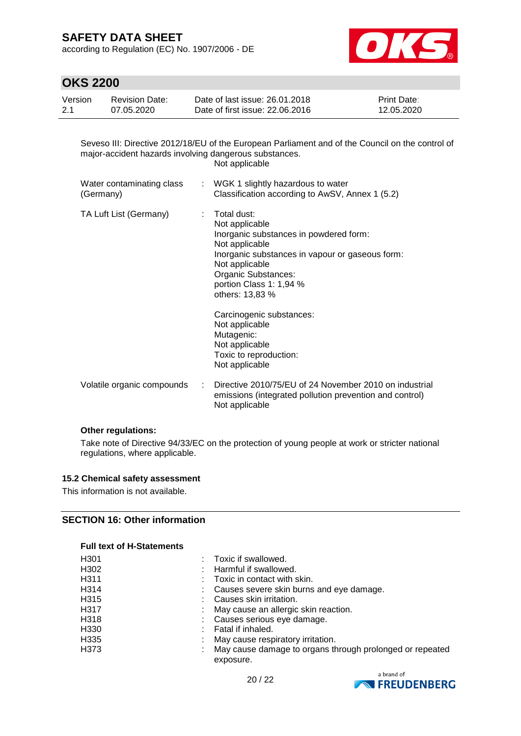according to Regulation (EC) No. 1907/2006 - DE



### **OKS 2200**

| Version | Revision Date: | Date of last issue: 26.01.2018  | <b>Print Date:</b> |
|---------|----------------|---------------------------------|--------------------|
| 2.1     | 07.05.2020     | Date of first issue: 22.06.2016 | 12.05.2020         |

Seveso III: Directive 2012/18/EU of the European Parliament and of the Council on the control of major-accident hazards involving dangerous substances. Not applicable Water contaminating class : WGK 1 slightly hazardous to water

| (Germany)              | Classification according to AwSV, Annex 1 (5.2)                                                                                                                                       |
|------------------------|---------------------------------------------------------------------------------------------------------------------------------------------------------------------------------------|
| TA Luft List (Germany) | Total dust:<br>Not applicable<br>Inorganic substances in powdered form:<br>Not applicable<br>Inorganic substances in vapour or gaseous form:<br>Not applicable<br>Organic Substances: |

Carcinogenic substances: Not applicable Mutagenic: Not applicable Toxic to reproduction: Not applicable

portion Class 1: 1,94 % others: 13,83 %

Volatile organic compounds : Directive 2010/75/EU of 24 November 2010 on industrial emissions (integrated pollution prevention and control) Not applicable

#### **Other regulations:**

Take note of Directive 94/33/EC on the protection of young people at work or stricter national regulations, where applicable.

#### **15.2 Chemical safety assessment**

This information is not available.

#### **SECTION 16: Other information**

#### **Full text of H-Statements**

| H301 |   | Toxic if swallowed.                                                   |
|------|---|-----------------------------------------------------------------------|
| H302 |   | Harmful if swallowed.                                                 |
| H311 |   | Toxic in contact with skin.                                           |
| H314 |   | Causes severe skin burns and eye damage.                              |
| H315 |   | Causes skin irritation.                                               |
| H317 | ÷ | May cause an allergic skin reaction.                                  |
| H318 |   | Causes serious eye damage.                                            |
| H330 |   | Fatal if inhaled.                                                     |
| H335 |   | May cause respiratory irritation.                                     |
| H373 |   | May cause damage to organs through prolonged or repeated<br>exposure. |

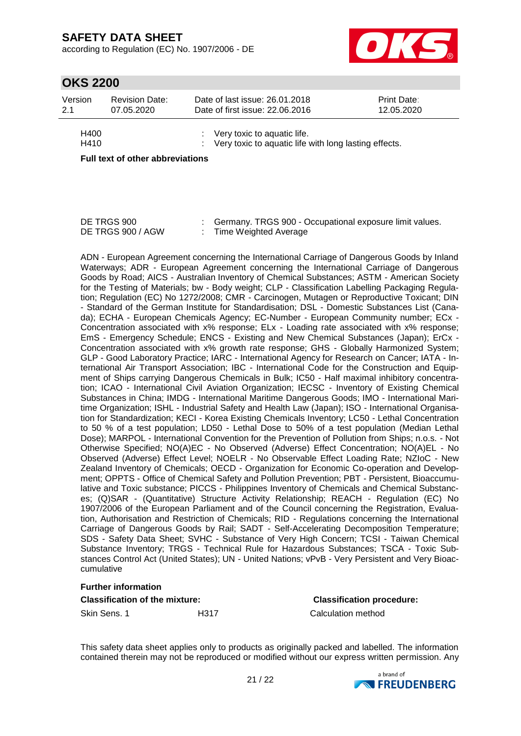according to Regulation (EC) No. 1907/2006 - DE



### **OKS 2200**

| Version      | <b>Revision Date:</b> | Date of last issue: 26.01.2018                                                                      | <b>Print Date:</b> |
|--------------|-----------------------|-----------------------------------------------------------------------------------------------------|--------------------|
| 2.1          | 07.05.2020            | Date of first issue: 22.06.2016                                                                     | 12.05.2020         |
| H400<br>H410 |                       | $\therefore$ Very toxic to aquatic life.<br>: Very toxic to aquatic life with long lasting effects. |                    |

**Full text of other abbreviations**

| DE TRGS 900       | Germany. TRGS 900 - Occupational exposure limit values. |
|-------------------|---------------------------------------------------------|
| DE TRGS 900 / AGW | Time Weighted Average                                   |

ADN - European Agreement concerning the International Carriage of Dangerous Goods by Inland Waterways; ADR - European Agreement concerning the International Carriage of Dangerous Goods by Road; AICS - Australian Inventory of Chemical Substances; ASTM - American Society for the Testing of Materials; bw - Body weight; CLP - Classification Labelling Packaging Regulation; Regulation (EC) No 1272/2008; CMR - Carcinogen, Mutagen or Reproductive Toxicant; DIN - Standard of the German Institute for Standardisation; DSL - Domestic Substances List (Canada); ECHA - European Chemicals Agency; EC-Number - European Community number; ECx - Concentration associated with x% response; ELx - Loading rate associated with x% response; EmS - Emergency Schedule; ENCS - Existing and New Chemical Substances (Japan); ErCx - Concentration associated with x% growth rate response; GHS - Globally Harmonized System; GLP - Good Laboratory Practice; IARC - International Agency for Research on Cancer; IATA - International Air Transport Association; IBC - International Code for the Construction and Equipment of Ships carrying Dangerous Chemicals in Bulk; IC50 - Half maximal inhibitory concentration; ICAO - International Civil Aviation Organization; IECSC - Inventory of Existing Chemical Substances in China; IMDG - International Maritime Dangerous Goods; IMO - International Maritime Organization; ISHL - Industrial Safety and Health Law (Japan); ISO - International Organisation for Standardization; KECI - Korea Existing Chemicals Inventory; LC50 - Lethal Concentration to 50 % of a test population; LD50 - Lethal Dose to 50% of a test population (Median Lethal Dose); MARPOL - International Convention for the Prevention of Pollution from Ships; n.o.s. - Not Otherwise Specified; NO(A)EC - No Observed (Adverse) Effect Concentration; NO(A)EL - No Observed (Adverse) Effect Level; NOELR - No Observable Effect Loading Rate; NZIoC - New Zealand Inventory of Chemicals; OECD - Organization for Economic Co-operation and Development; OPPTS - Office of Chemical Safety and Pollution Prevention; PBT - Persistent, Bioaccumulative and Toxic substance; PICCS - Philippines Inventory of Chemicals and Chemical Substances; (Q)SAR - (Quantitative) Structure Activity Relationship; REACH - Regulation (EC) No 1907/2006 of the European Parliament and of the Council concerning the Registration, Evaluation, Authorisation and Restriction of Chemicals; RID - Regulations concerning the International Carriage of Dangerous Goods by Rail; SADT - Self-Accelerating Decomposition Temperature; SDS - Safety Data Sheet; SVHC - Substance of Very High Concern; TCSI - Taiwan Chemical Substance Inventory; TRGS - Technical Rule for Hazardous Substances; TSCA - Toxic Substances Control Act (United States); UN - United Nations; vPvB - Very Persistent and Very Bioaccumulative

#### **Further information**

#### **Classification of the mixture: Classification procedure:**

Skin Sens. 1 **H317** H317 Calculation method

This safety data sheet applies only to products as originally packed and labelled. The information contained therein may not be reproduced or modified without our express written permission. Any